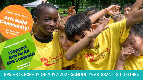# **Boston Public** Arts Build Communit Boston Pub BRS Students! Osta<sub>liza</sub>

### **BPS ARTS EXPANSION 2022-2023 SCHOOL YEAR GRANT GUIDELINES**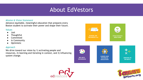### About EdVestors

#### *Mission & Vision Statement*

Advance equitable, meaningful education that prepares every Boston student to activate their power and shape their future.

#### *Values*

- Just
- Thoughtful
- Committed
- In Community
- Optimistic

#### *Approach*

We drive toward our vision by 1) activating people and resources, 2) learning and iterating in context, and 3) influencing system change.









**ON MATH** 



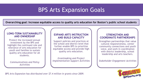### BPS Arts Expansion Goals

**Overarching goal: Increase equitable access to quality arts education for Boston's public school students**

#### **LONG-TERM SUSTAINABILITY AND OWNERSHIP**

Protect the increased annual investment by the BPS and highlight the continued role and relevance of arts education for youth and families to sustain quality arts education for all students.

*Communications and Policy Activities*

#### **EXPAND ARTS INSTRUCTION AND BUILD CAPACITY**

Support policies and practices at the school and district level that further enable BPS to prioritize equitable access and provide high quality arts education.

*Grantmaking and Project Implementation Support Activities*

#### **STRENGTHEN AND COORDINATE PARTNERSHIPS**

Strengthen partnerships that value cultural responsiveness, center community connections and youth voice, and work in coordination with district leadership, school leadership and arts teachers.

*Stakeholder Engagement Activities*



*BPS Arts Expansion has distributed over \$7.4 million in grants since 2009.*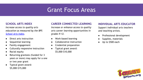### Grant Focus Areas

#### **SCHOOL ARTS INDEX**

*Increase access to quality arts education as measured by the BPS [School Arts Index](https://drive.google.com/drive/folders/1b6ezdM_0FYHEQGZFUM6qSeo-LRwm0bi5?usp=sharing)*.

- Direct arts instruction
- Sequential learning
- Family engagement
- Culturally responsive instruction
- Racial equity
- Returning grantees (funded for 3 years or more) may apply for a one or two year grant
- Typical grant award: \$5,000-\$15,000

#### **CAREER CONNECTED LEARNING**

*Increase or enhance access to quality arts career learning opportunities in grades 9-12.*

- Work-based learning
- Collaborative instruction
- Credential preparation
- Typical grant award: \$5,000-\$10,000

#### **INDIVIDUAL ARTS EDUCATOR**

*Support individual arts teachers and teaching artists.*

- Professional development
- Supplies, materials
- Up to  $$500$  each

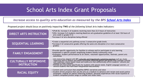### School Arts Index Grant Proposals

#### *Increase access to quality arts education as measured by the BPS [School Arts Index](https://drive.google.com/drive/folders/1b6ezdM_0FYHEQGZFUM6qSeo-LRwm0bi5?usp=sharing)*

*Proposed project should focus on positively impacting* **TWO** *of the following School Arts Index Indicators:*

| DIRECT ARTS INSTRUCTION                            | • (PreK-8): Increase % of students receiving more than 22.5 hours of instruction<br>• (HS): Increase # of students meeting MassCore arts graduation guideline of at least 126 hours of<br>arts credit in grades 9-12<br>• Increase # of arts disciplines being offered                                                                                                                                                                 |
|----------------------------------------------------|----------------------------------------------------------------------------------------------------------------------------------------------------------------------------------------------------------------------------------------------------------------------------------------------------------------------------------------------------------------------------------------------------------------------------------------|
| <b>SEQUENTIAL LEARNING</b>                         | • Create a sequential arts pathway across 3 consecutive grade levels<br>• Increase # of consecutive grades offering the same arts discipline (3 or more consecutive<br>grades)                                                                                                                                                                                                                                                         |
| <b>FAMILY ENGAGEMENT</b>                           | • Provide specific opportunity for families to witness and/or participate in arts learning<br>• Implement a specific project amplifying student/family/community voice<br>*Examples: student performances & art shows, volunteer opportunities, festivals, parent arts<br>committee                                                                                                                                                    |
| <b>CULTURALLY RESPONSIVE</b><br><b>INSTRUCTION</b> | • Arts instruction aligned with BPS culturally and linguistically sustaining practices such as: music<br>repertoire and/or theatre and dance curriculum reflecting genres and artists from multiple cultures<br>and traditions; choi<br>respond to their interests<br>• Provide arts instruction specifically for students with special needs, English Language Learners, or diverse students who have been marginalized educationally |
| RACIAL EQUITY                                      | • Content and curriculum that amplifies BIPOC narratives and voice<br>• Student-driven projects that use the arts as a medium to advance anti-racism and racial justice<br>(examples: original art pieces reflecting students' personal experiences with racial injustice or<br>student-composed protest songs to combat anti-Asian hate)                                                                                              |

5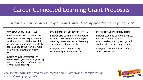### Career Connected Learning Grant Proposals

*Increase or enhance access to quality arts career learning opportunities in grades 9-12*

#### **WORK-BASED LEARNING**

Enables students to participate in structured career exploration and work readiness activities or skills demonstration projects that foster learning about the world of work in the arts/creative economy sectors.

*Examples: arts internships for school credit/pay, audio engineering for a community-based project or event, job shadowing*

#### **COLLABORATIVE INSTRUCTION**

Enables arts partners to collaborate with arts teacher on deepening or creating career connected learning opportunities for students.

*Examples: radio broadcasting, woodworking in visual arts class* 

#### **CREDENTIAL PREPARATION**

Enables students to make progress toward attainment of an arts/creative industry recognized credential or arts college credits.

*Examples: Dual enrollment, Adobe Suite certification*

*Partnerships with arts organizations/teaching artists are strongly encouraged for Career Pathways proposals.* 

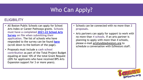# Who Can Apply?

### **ELIGIBILITY**

- All Boston Public Schools can apply for School Arts Index or Career Pathways grants. **Schools must have a completed [2021-22 School Arts](https://www.surveymonkey.com/r/2122BPSArtSurvey) [Survey](https://www.surveymonkey.com/r/2122BPSArtSurvey) on file when submitting their application.** The list of schools who have responded to the survey can be found **[here](https://www.edvestors.org/initiatives/bps-arts-expansion/bps-arts-expansion-grantmaking)** (scroll down to the bottom of the page).
- Proposals must include a **cash school contribution** as part of the Total Project Budget equaling at least 10% of the total Grant Request (20% for applicants who have received BPS Arts Expansion support for 3 or more years).
- Schools can be connected with no more than **2 proposals**.
- Arts partners can apply for support to work with no more than **4 schools**. If an arts partner is planning to apply with more than 4 schools, please e-mail [artsfund@edvestors.org](mailto:artsfund@edvestors.org) to schedule a conversation with EdVestors staff.

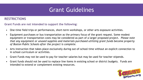### Grant Guidelines

### **RESTRICTIONS**

**Grant Funds are not intended to support the following:**

- One-time field trips or performances, short-term workshops, or other arts exposure activities.
- Equipment purchases or bus transportation as the primary focus of the grant request. Some modest equipment or transportation costs may be considered as part of a larger proposed project. *Please note that any equipment or unused supplies and materials purchased utilizing grant funds become property of Boston Public Schools after the project is complete.*
- Arts instruction that takes place exclusively during out-of-school time without an explicit connection to in school curriculum or activities.
- Grant Funds may not be used to pay for teacher salaries but may be used for teacher stipends.
- Grant funds should not be used to replace line items in existing school or district budgets. Funds are intended to extend or complement existing resources.

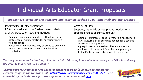# Individual Arts Educator Grant Proposals

*Support BPS certified arts teachers and teaching artists by building their artistic practice*

#### **PROFESSIONAL DEVELOPMENT**

PD for arts educators to further develop their artistic practice or teaching methods.

- Examples: enrollment in a class; attendance at a conference or summer institute; participation in a webinar series
- Please note that grantees may be asked to provide PD related documentation or work samples after completion

#### **ARTS SUPPLIES**

Supplies, materials or equipment needed for a specific project or curriculum unit.

- Examples: purchase of specific materials needed for a clay sculpture unit or costumes needed for a specific theatre or dance project
- Any equipment or unused supplies and materials purchased utilizing grant funds become property of Boston Public Schools after project completion

*Teaching artists must be teaching a long term (min. 30 hours) in school arts residency at a BPS school during the 2022-23 school year to be eligible.* 

*Applications for Individual Arts Educator support of up to \$500 must be completed electronically via the following link: [https://www.surveymonkey.com/r/IAE\\_2223](https://www.surveymonkey.com/r/IAE_2223). For accessibility and reference purposes, questions can be accessed <u>here</u>.* 

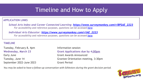## Timeline and How to Apply

#### **APPLICATION LINKS**

*School Arts Index and Career Connected Learning: [https://www.surveymonkey.com/r/BPSAE\\_2223](https://www.surveymonkey.com/r/BPSAE_2223) For accessibility and reference purposes, questions can be accessed [here.](https://docs.google.com/document/d/1-WON4zdcwYzD0KWs-8O3KbUWnJi2csII/edit?usp=sharing&ouid=114599920572162502245&rtpof=true&sd=true)* 

*Individual Arts Educator: [https://www.surveymonkey.com/r/IAE\\_2223](https://www.surveymonkey.com/r/IAE_2223) For accessibility and reference purposes, questions can be accessed [here.](https://docs.google.com/document/d/1BMo1WwDRneKpVAm-LbUiqfVTI-GvoRYO/edit)* 

#### **TIMELINE**

Tuesday, February 8, 4pm Information session Early June **Early June 19 Construction** Grant Awards Announced September 2022-June 2023 Grant Period

**Wednesday, March 23 Grant Applications due by 4:00pm** Tuesday, June 14 Grantee Orientation meeting, 3:30pm

*You may be asked to have a follow-up conversation with EdVestors during the grant decision period.*